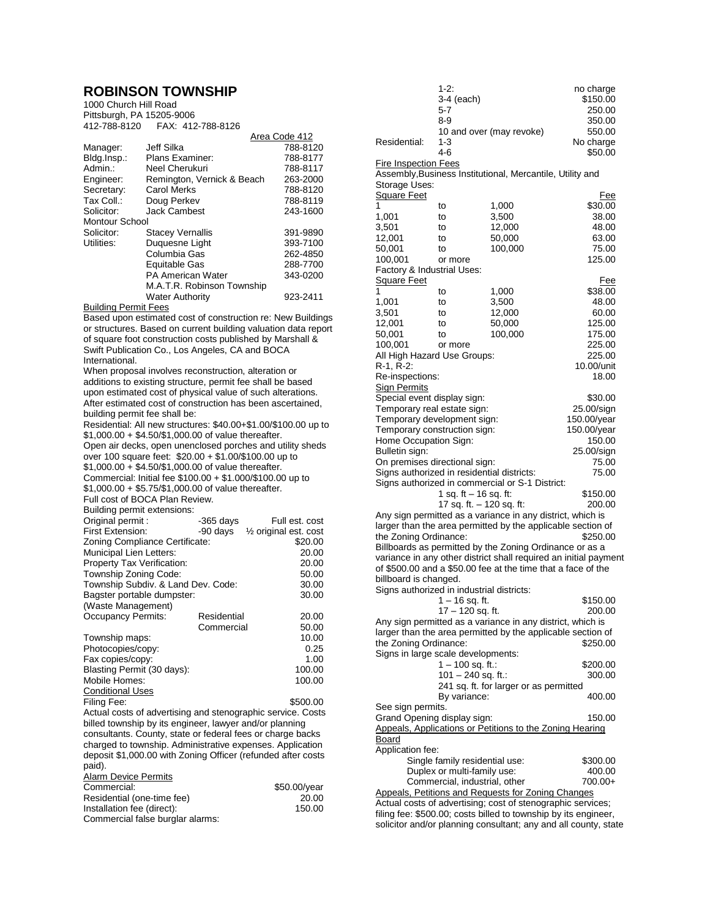## **ROBINSON TOWNSHIP**

| 1000 Church Hill Road     |                   |
|---------------------------|-------------------|
| Pittsburgh, PA 15205-9006 |                   |
| 412-788-8120              | FAX: 412-788-8126 |

|                             |                            | Area Code 412 |  |
|-----------------------------|----------------------------|---------------|--|
| Manager:                    | Jeff Silka                 | 788-8120      |  |
| Bldg.Insp.:                 | Plans Examiner:            | 788-8177      |  |
| Admin.:                     | Neel Cherukuri             | 788-8117      |  |
| Engineer:                   | Remington, Vernick & Beach | 263-2000      |  |
| Secretary:                  | Carol Merks                | 788-8120      |  |
| Tax Coll.:                  | Doug Perkev                | 788-8119      |  |
| Solicitor:                  | <b>Jack Cambest</b>        | 243-1600      |  |
| <b>Montour School</b>       |                            |               |  |
| Solicitor:                  | <b>Stacey Vernallis</b>    | 391-9890      |  |
| Utilities:                  | Duquesne Light             | 393-7100      |  |
|                             | Columbia Gas               | 262-4850      |  |
|                             | Equitable Gas              | 288-7700      |  |
|                             | <b>PA American Water</b>   | 343-0200      |  |
|                             | M.A.T.R. Robinson Township |               |  |
|                             | <b>Water Authority</b>     | 923-2411      |  |
| <b>Building Permit Fees</b> |                            |               |  |

Building Permit Fees

Based upon estimated cost of construction re: New Buildings or structures. Based on current building valuation data report of square foot construction costs published by Marshall & Swift Publication Co., Los Angeles, CA and BOCA International.

When proposal involves reconstruction, alteration or additions to existing structure, permit fee shall be based upon estimated cost of physical value of such alterations. After estimated cost of construction has been ascertained, building permit fee shall be:

Residential: All new structures: \$40.00+\$1.00/\$100.00 up to \$1,000.00 + \$4.50/\$1,000.00 of value thereafter.

Open air decks, open unenclosed porches and utility sheds over 100 square feet: \$20.00 + \$1.00/\$100.00 up to

\$1,000.00 + \$4.50/\$1,000.00 of value thereafter.

Commercial: Initial fee \$100.00 + \$1.000/\$100.00 up to \$1,000.00 + \$5.75/\$1,000.00 of value thereafter.

Full cost of BOCA Plan Review.

Building permit extensions:

| Banan ig pommt omtonomol           |             |                                           |
|------------------------------------|-------------|-------------------------------------------|
| Original permit:                   | $-365$ days | Full est, cost                            |
| First Extension:                   |             | -90 days $\frac{1}{2}$ original est. cost |
| Zoning Compliance Certificate:     |             | \$20.00                                   |
| <b>Municipal Lien Letters:</b>     |             | 20.00                                     |
| Property Tax Verification:         |             | 20.00                                     |
| Township Zoning Code:              |             | 50.00                                     |
| Township Subdiv. & Land Dev. Code: |             | 30.00                                     |
| Bagster portable dumpster:         |             | 30.00                                     |
| (Waste Management)                 |             |                                           |
| <b>Occupancy Permits:</b>          | Residential | 20.00                                     |
|                                    | Commercial  | 50.00                                     |
| Township maps:                     |             | 10.00                                     |
| Photocopies/copy:                  |             | 0.25                                      |
| Fax copies/copy:                   |             | 1.00                                      |
| Blasting Permit (30 days):         |             | 100.00                                    |
| Mobile Homes:                      |             | 100.00                                    |
| <b>Conditional Uses</b>            |             |                                           |
|                                    |             | $\cdots$                                  |

Filing Fee: \$500.00 Actual costs of advertising and stenographic service. Costs billed township by its engineer, lawyer and/or planning consultants. County, state or federal fees or charge backs charged to township. Administrative expenses. Application deposit \$1,000.00 with Zoning Officer (refunded after costs paid).

| <b>Alarm Device Permits</b>      |              |
|----------------------------------|--------------|
| Commercial:                      | \$50.00/year |
| Residential (one-time fee)       | 20.00        |
| Installation fee (direct):       | 150.00       |
| Commercial false burglar alarms: |              |

|                                                                    | $1-2:$                                                       |                                                                  | no charge            |
|--------------------------------------------------------------------|--------------------------------------------------------------|------------------------------------------------------------------|----------------------|
|                                                                    | 3-4 (each)                                                   |                                                                  | \$150.00             |
|                                                                    | 5-7                                                          |                                                                  | 250.00               |
|                                                                    | 8-9                                                          |                                                                  | 350.00               |
|                                                                    |                                                              | 10 and over (may revoke)                                         | 550.00               |
| Residential:                                                       | 1-3<br>$4-6$                                                 |                                                                  | No charge            |
| <b>Fire Inspection Fees</b>                                        |                                                              |                                                                  | \$50.00              |
|                                                                    |                                                              | Assembly, Business Institutional, Mercantile, Utility and        |                      |
| Storage Uses:                                                      |                                                              |                                                                  |                      |
| Square Feet                                                        |                                                              |                                                                  | <u>Fee</u>           |
| 1                                                                  | to                                                           | 1,000                                                            | \$30.00              |
| 1,001                                                              | to                                                           | 3,500                                                            | 38.00                |
| 3,501                                                              | to                                                           | 12,000                                                           | 48.00                |
| 12,001                                                             | to                                                           | 50,000                                                           | 63.00                |
| 50,001                                                             | to                                                           | 100,000                                                          | 75.00                |
| 100,001                                                            | or more                                                      |                                                                  | 125.00               |
| Factory & Industrial Uses:                                         |                                                              |                                                                  |                      |
| Square Feet                                                        |                                                              |                                                                  | <u>Fee</u>           |
| 1                                                                  | to                                                           | 1,000                                                            | \$38.00              |
| 1,001                                                              | to                                                           | 3,500                                                            | 48.00                |
| 3,501                                                              | to                                                           | 12,000                                                           | 60.00                |
| 12,001                                                             | to                                                           | 50,000                                                           | 125.00               |
| 50,001                                                             | to                                                           | 100,000                                                          | 175.00               |
| 100,001                                                            | or more                                                      |                                                                  | 225.00               |
| All High Hazard Use Groups:                                        |                                                              |                                                                  | 225.00<br>10.00/unit |
| R-1, R-2:<br>Re-inspections:                                       |                                                              |                                                                  | 18.00                |
| <b>Sign Permits</b>                                                |                                                              |                                                                  |                      |
| Special event display sign:                                        |                                                              |                                                                  | \$30.00              |
| Temporary real estate sign:                                        |                                                              |                                                                  | 25.00/sign           |
| Temporary development sign:                                        |                                                              |                                                                  | 150.00/year          |
| Temporary construction sign:                                       |                                                              |                                                                  | 150.00/year          |
| Home Occupation Sign:                                              |                                                              |                                                                  | 150.00               |
| Bulletin sign:                                                     |                                                              |                                                                  | 25.00/sign           |
| On premises directional sign:                                      |                                                              |                                                                  | 75.00                |
| Signs authorized in residential districts:                         |                                                              |                                                                  | 75.00                |
|                                                                    |                                                              | Signs authorized in commercial or S-1 District:                  |                      |
|                                                                    | 1 sq. ft - 16 sq. ft:                                        |                                                                  | \$150.00             |
|                                                                    | 17 sq. ft. - 120 sq. ft:                                     |                                                                  | 200.00               |
|                                                                    |                                                              | Any sign permitted as a variance in any district, which is       |                      |
|                                                                    |                                                              | larger than the area permitted by the applicable section of      |                      |
| the Zoning Ordinance:                                              |                                                              |                                                                  | \$250.00             |
|                                                                    |                                                              | Billboards as permitted by the Zoning Ordinance or as a          |                      |
|                                                                    |                                                              | variance in any other district shall required an initial payment |                      |
|                                                                    |                                                              | of \$500.00 and a \$50.00 fee at the time that a face of the     |                      |
| billboard is changed.<br>Signs authorized in industrial districts: |                                                              |                                                                  |                      |
|                                                                    | 1 – 16 sa. ft.                                               |                                                                  | \$150.00             |
|                                                                    | 17 - 120 sq. ft.                                             |                                                                  | 200.00               |
|                                                                    |                                                              | Any sign permitted as a variance in any district, which is       |                      |
|                                                                    |                                                              | larger than the area permitted by the applicable section of      |                      |
| the Zoning Ordinance:                                              |                                                              |                                                                  | \$250.00             |
| Signs in large scale developments:                                 |                                                              |                                                                  |                      |
|                                                                    | 1 – 100 sq. ft.:                                             |                                                                  | \$200.00             |
|                                                                    | 101 – 240 sq. ft.:                                           |                                                                  | 300.00               |
|                                                                    |                                                              | 241 sq. ft. for larger or as permitted                           |                      |
|                                                                    | By variance:                                                 |                                                                  | 400.00               |
| See sign permits.                                                  |                                                              |                                                                  |                      |
| Grand Opening display sign:                                        |                                                              |                                                                  | 150.00               |
|                                                                    |                                                              | Appeals, Applications or Petitions to the Zoning Hearing         |                      |
| Board                                                              |                                                              |                                                                  |                      |
| Application fee:                                                   |                                                              |                                                                  |                      |
|                                                                    | Single family residential use:                               |                                                                  | \$300.00<br>400.00   |
|                                                                    | Duplex or multi-family use:<br>Commercial, industrial, other |                                                                  | 700.00+              |
|                                                                    |                                                              | Appeals, Petitions and Requests for Zoning Changes               |                      |
|                                                                    |                                                              | Actual costs of advertising; cost of stenographic services;      |                      |
| filing fee: \$500.00; costs billed to township by its engineer,    |                                                              |                                                                  |                      |

solicitor and/or planning consultant; any and all county, state